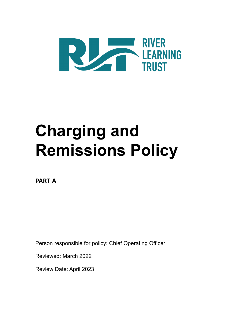

# **Charging and Remissions Policy**

**PART A**

Person responsible for policy: Chief Operating Officer

Reviewed: March 2022

Review Date: April 2023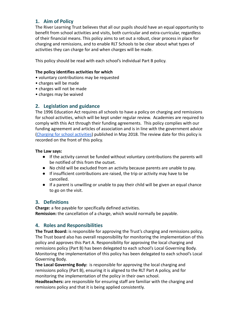# **1. Aim of Policy**

The River Learning Trust believes that all our pupils should have an equal opportunity to benefit from school activities and visits, both curricular and extra-curricular, regardless of their financial means. This policy aims to set out a robust, clear process in place for charging and remissions, and to enable RLT Schools to be clear about what types of activities they can charge for and when charges will be made.

This policy should be read with each school's individual Part B policy.

## **The policy identifies activities for which**

- voluntary contributions may be requested
- charges will be made
- charges will not be made
- charges may be waived

# **2. Legislation and guidance**

The 1996 Education Act requires all schools to have a policy on charging and remissions for school activities, which will be kept under regular review. Academies are required to comply with this Act through their funding agreements. This policy complies with our funding agreement and articles of association and is in line with the government advice [\(Charging for school activities](https://www.gov.uk/government/publications/charging-for-school-activities)) published in May 2018. The review date for this policy is recorded on the front of this policy.

## **The Law says:**

- If the activity cannot be funded without voluntary contributions the parents will be notified of this from the outset.
- No child will be excluded from an activity because parents are unable to pay.
- If insufficient contributions are raised, the trip or activity may have to be cancelled.
- If a parent is unwilling or unable to pay their child will be given an equal chance to go on the visit.

# **3. Definitions**

**Charge:** a fee payable for specifically defined activities. **Remission:** the cancellation of a charge, which would normally be payable.

# **4. Roles and Responsibilities**

**The Trust Board:** is responsible for approving the Trust's charging and remissions policy. The Trust board also has overall responsibility for monitoring the implementation of this policy and approves this Part A. Responsibility for approving the local charging and remissions policy (Part B) has been delegated to each school's Local Governing Body. Monitoring the implementation of this policy has been delegated to each school's Local Governing Body.

**The Local Governing Body:** is responsible for approving the local charging and remissions policy (Part B), ensuring it is aligned to the RLT Part A policy, and for monitoring the implementation of the policy in their own school.

**Headteachers:** are responsible for ensuring staff are familiar with the charging and remissions policy and that it is being applied consistently.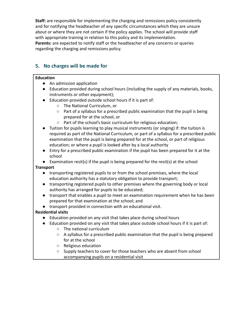**Staff:** are responsible for implementing the charging and remissions policy consistently and for notifying the headteacher of any specific circumstances which they are unsure about or where they are not certain if the policy applies. The school will provide staff with appropriate training in relation to this policy and its implementation. **Parents:** are expected to notify staff or the headteacher of any concerns or queries regarding the charging and remissions policy.

# **5. No charges will be made for**

## **Education**

- An admission application
- Education provided during school hours (including the supply of any materials, books, instruments or other equipment);
- Education provided outside school hours if it is part of:
	- The National Curriculum, or
	- Part of a syllabus for a prescribed public examination that the pupil is being prepared for at the school, or
	- Part of the school's basic curriculum for religious education;
- Tuition for pupils learning to play musical instruments (or singing) if: the tuition is required as part of the National Curriculum, or part of a syllabus for a prescribed public examination that the pupil is being prepared for at the school, or part of religious education; or where a pupil is looked after by a local authority
- Entry for a prescribed public examination if the pupil has been prepared for it at the school

● Examination resit(s) if the pupil is being prepared for the resit(s) at the school

## **Transport**

- transporting registered pupils to or from the school premises, where the local education authority has a statutory obligation to provide transport;
- transporting registered pupils to other premises where the governing body or local authority has arranged for pupils to be educated;
- transport that enables a pupil to meet an examination requirement when he has been prepared for that examination at the school; and

● transport provided in connection with an educational visit.

## **Residential visits**

- Education provided on any visit that takes place during school hours
- Education provided on any visit that takes place outside school hours if it is part of:
	- The national curriculum
	- A syllabus for a prescribed public examination that the pupil is being prepared for at the school
	- Religious education
	- Supply teachers to cover for those teachers who are absent from school accompanying pupils on a residential visit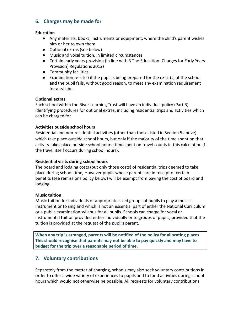# **6. Charges may be made for**

#### **Education**

- Any materials, books, instruments or equipment, where the child's parent wishes him or her to own them
- Optional extras (see below)
- Music and vocal tuition, in limited circumstances
- Certain early years provision (in line with 3 The Education (Charges for Early Years Provision) Regulations 2012)
- Community facilities
- Examination re-sit(s) if the pupil is being prepared for the re-sit(s) at the school **and** the pupil fails, without good reason, to meet any examination requirement for a syllabus

#### **Optional extras**

Each school within the River Learning Trust will have an individual policy (Part B) identifying procedures for optional extras, including residential trips and activities which can be charged for.

#### **Activities outside school hours**

Residential and non-residential activities (other than those listed in Section 5 above) which take place outside school hours, but only if the majority of the time spent on that activity takes place outside school hours (time spent on travel counts in this calculation if the travel itself occurs during school hours).

#### **Residential visits during school hours**

The board and lodging costs (but only those costs) of residential trips deemed to take place during school time, However pupils whose parents are in receipt of certain benefits (see remissions policy below) will be exempt from paying the cost of board and lodging.

#### **Music tuition**

Music tuition for individuals or appropriate sized groups of pupils to play a musical instrument or to sing and which is not an essential part of either the National Curriculum or a public examination syllabus for all pupils. Schools can charge for vocal or instrumental tuition provided either individually or to groups of pupils, provided that the tuition is provided at the request of the pupil's parent.

**When any trip is arranged, parents will be notified of the policy for allocating places. This should recognise that parents may not be able to pay quickly and may have to budget for the trip over a reasonable period of time.**

## **7. Voluntary contributions**

Separately from the matter of charging, schools may also seek voluntary contributions in order to offer a wide variety of experiences to pupils and to fund activities during school hours which would not otherwise be possible. All requests for voluntary contributions